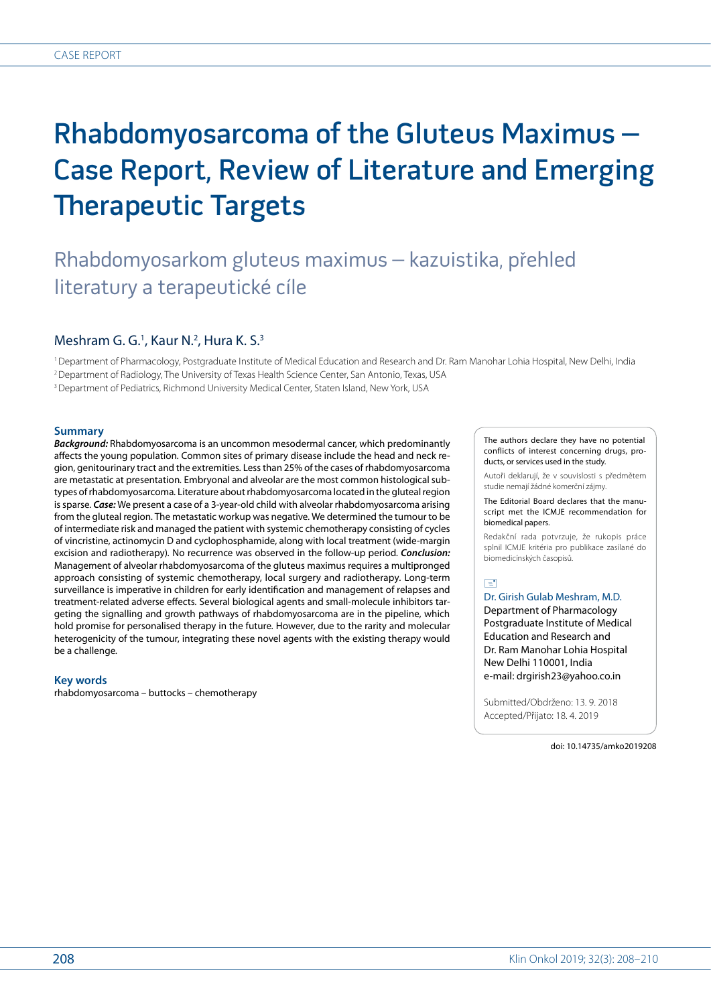# Rhabdomyosarcoma of the Gluteus Maximus – Case Report, Review of Literature and Emerging Therapeutic Targets

# Rhabdomyosarkom gluteus maximus – kazuistika, přehled literatury a terapeutické cíle

# Meshram G. G.<sup>1</sup>, Kaur N.<sup>2</sup>, Hura K. S.<sup>3</sup>

1Department of Pharmacology, Postgraduate Institute of Medical Education and Research and Dr. Ram Manohar Lohia Hospital, New Delhi, India 2Department of Radiology, The University of Texas Health Science Center, San Antonio, Texas, USA

3Department of Pediatrics, Richmond University Medical Center, Staten Island, New York, USA

#### **Summary**

*Background:* Rhabdomyosarcoma is an uncommon mesodermal cancer, which predominantly affects the young population*.* Common sites of primary disease include the head and neck region, genitourinary tract and the extremities*.* Less than 25% of the cases of rhabdomyosarcoma are metastatic at presentation*.* Embryonal and alveolar are the most common histological subtypes of rhabdomyosarcoma*.* Literature about rhabdomyosarcoma located in the gluteal region is sparse*. Case:* We present a case of a 3-year-old child with alveolar rhabdomyosarcoma arising from the gluteal region*.* The metastatic workup was negative*.* We determined the tumour to be of intermediate risk and managed the patient with systemic chemotherapy consisting of cycles of vincristine, actinomycin D and cyclophosphamide, along with local treatment (wide-margin excision and radiotherapy)*.* No recurrence was observed in the follow-up period*. Conclusion:*  Management of alveolar rhabdomyosarcoma of the gluteus maximus requires a multipronged approach consisting of systemic chemotherapy, local surgery and radiotherapy*.* Long-term surveillance is imperative in children for early identification and management of relapses and treatment-related adverse effects*.* Several biological agents and small-molecule inhibitors targeting the signalling and growth pathways of rhabdomyosarcoma are in the pipeline, which hold promise for personalised therapy in the future*.* However, due to the rarity and molecular heterogenicity of the tumour, integrating these novel agents with the existing therapy would be a challenge*.*

#### **Key words**

rhabdomyosarcoma – buttocks – chemotherapy

The authors declare they have no potential conflicts of interest concerning drugs, products, or services used in the study.

Autoři deklarují, že v souvislosti s předmětem studie nemají žádné komerční zájmy.

The Editorial Board declares that the manuscript met the ICMJE recommendation for biomedical papers.

Redakční rada potvrzuje, že rukopis práce splnil ICMJE kritéria pro publikace zasílané do biomedicínských časopisů.

## $\Box$

Dr. Girish Gulab Meshram, M.D. Department of Pharmacology Postgraduate Institute of Medical Education and Research and Dr. Ram Manohar Lohia Hospital New Delhi 110001, India e-mail: drgirish23@yahoo.co.in

Submitted/Obdrženo: 13. 9. 2018 Accepted/Přijato: 18. 4. 2019

doi: 10.14735/amko2019208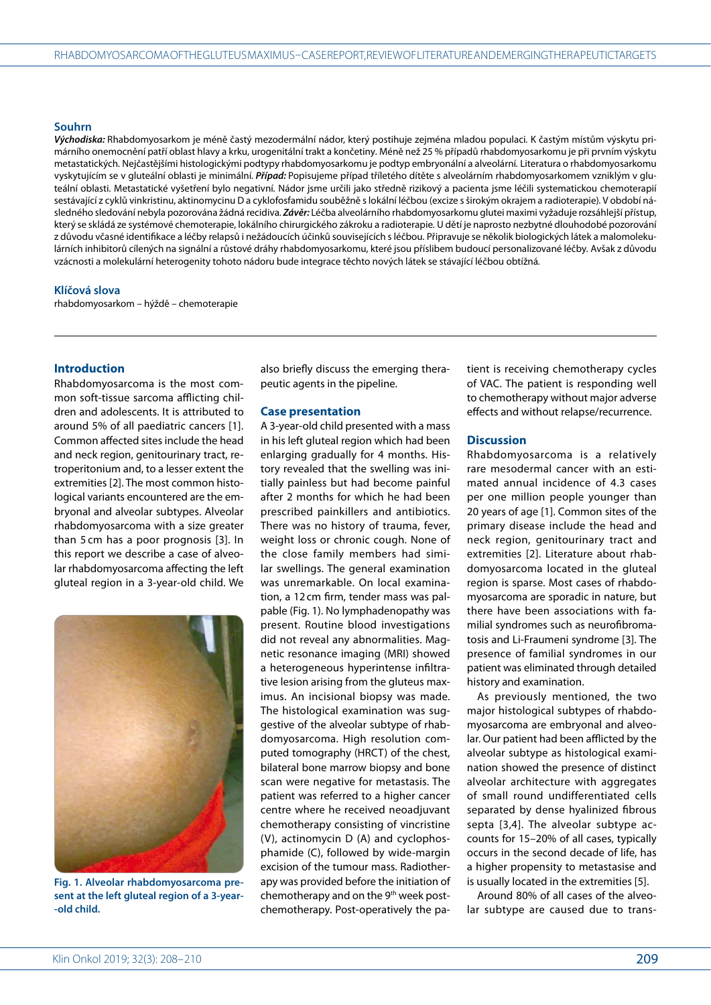#### **Souhrn**

*Východiska:* Rhabdomyosarkom je méně častý mezodermální nádor, který postihuje zejména mladou populaci*.* K častým místům výskytu primárního onemocnění patří oblast hlavy a krku, urogenitální trakt a končetiny*.* Méně než 25 % případů rhabdomyosarkomu je při prvním výskytu metastatických*.* Nejčastějšími histologickými podtypy rhabdomyosarkomu je podtyp embryonální a alveolární*.* Literatura o rhabdomyosarkomu vyskytujícím se v gluteální oblasti je minimální*. Případ:* Popisujeme případ tříletého dítěte s alveolárním rhabdomyosarkomem vzniklým v gluteální oblasti*.* Metastatické vyšetření bylo negativní*.* Nádor jsme určili jako středně rizikový a pacienta jsme léčili systematickou chemoterapií sestávající z cyklů vinkristinu, aktinomycinu D a cyklofosfamidu souběžně s lokální léčbou (excize s širokým okrajem a radioterapie)*.* V období následného sledování nebyla pozorována žádná recidiva*. Závěr:* Léčba alveolárního rhabdomyosarkomu glutei maximi vyžaduje rozsáhlejší přístup, který se skládá ze systémové chemoterapie, lokálního chirurgického zákroku a radioterapie*.* U dětí je naprosto nezbytné dlouhodobé pozorování z důvodu včasné identifikace a léčby relapsů i nežádoucích účinků souvisejících s léčbou*.* Připravuje se několik biologických látek a malomolekulárních inhibitorů cílených na signální a růstové dráhy rhabdomyosarkomu, které jsou příslibem budoucí personalizované léčby*.* Avšak z důvodu vzácnosti a molekulární heterogenity tohoto nádoru bude integrace těchto nových látek se stávající léčbou obtížná*.*

#### **Klíčová slova**

rhabdomyosarkom – hýždě – chemoterapie

#### **Introduction**

Rhabdomyosarcoma is the most common soft-tissue sarcoma afflicting children and adolescents. It is attributed to around 5% of all paediatric cancers [1]. Common affected sites include the head and neck region, genitourinary tract, retroperitonium and, to a lesser extent the extremities [2]. The most common histological variants encountered are the embryonal and alveolar subtypes. Alveolar rhabdomyosarcoma with a size greater than 5 cm has a poor prognosis [3]. In this report we describe a case of alveolar rhabdomyosarcoma affecting the left gluteal region in a 3-year-old child. We



**Fig. 1. Alveolar rhabdomyosarcoma present at the left gluteal region of a 3-year- -old child.**

also briefly discuss the emerging therapeutic agents in the pipeline.

### **Case presentation**

A 3-year-old child presented with a mass in his left gluteal region which had been enlarging gradually for 4 months. History revealed that the swelling was initially painless but had become painful after 2 months for which he had been prescribed painkillers and antibiotics. There was no history of trauma, fever, weight loss or chronic cough. None of the close family members had similar swellings. The general examination was unremarkable. On local examination, a 12cm firm, tender mass was palpable (Fig. 1). No lymphadenopathy was present. Routine blood investigations did not reveal any abnormalities. Magnetic resonance imaging (MRI) showed a heterogeneous hyperintense infiltrative lesion arising from the gluteus maximus. An incisional biopsy was made. The histological examination was suggestive of the alveolar subtype of rhabdomyosarcoma. High resolution computed tomography (HRCT) of the chest, bilateral bone marrow biopsy and bone scan were negative for metastasis. The patient was referred to a higher cancer centre where he received neoadjuvant chemotherapy consisting of vincristine (V), actinomycin D (A) and cyclophosphamide (C), followed by wide-margin excision of the tumour mass. Radiotherapy was provided before the initiation of chemotherapy and on the 9<sup>th</sup> week postchemotherapy. Post-operatively the patient is receiving chemotherapy cycles of VAC. The patient is responding well to chemotherapy without major adverse effects and without relapse/recurrence.

#### **Discussion**

Rhabdomyosarcoma is a relatively rare mesodermal cancer with an estimated annual incidence of 4.3 cases per one million people younger than 20 years of age [1]. Common sites of the primary disease include the head and neck region, genitourinary tract and extremities [2]. Literature about rhabdomyosarcoma located in the gluteal region is sparse. Most cases of rhabdomyosarcoma are sporadic in nature, but there have been associations with familial syndromes such as neurofibromatosis and Li-Fraumeni syndrome [3]. The presence of familial syndromes in our patient was eliminated through detailed history and examination.

As previously mentioned, the two major histological subtypes of rhabdomyosarcoma are embryonal and alveolar. Our patient had been afflicted by the alveolar subtype as histological examination showed the presence of distinct alveolar architecture with aggregates of small round undifferentiated cells separated by dense hyalinized fibrous septa [3,4]. The alveolar subtype accounts for 15–20% of all cases, typically occurs in the second decade of life, has a higher propensity to metastasise and is usually located in the extremities [5].

Around 80% of all cases of the alveolar subtype are caused due to trans